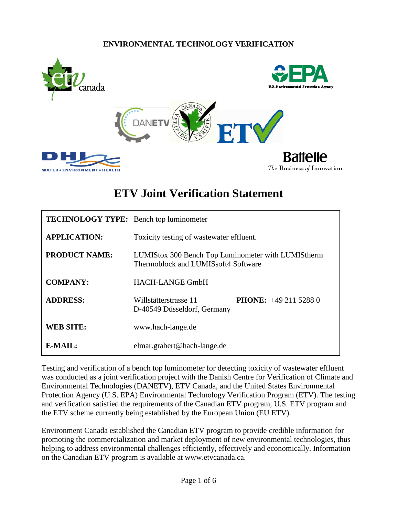#### **ENVIRONMENTAL TECHNOLOGY VERIFICATION**



# **ETV Joint Verification Statement**

| <b>TECHNOLOGY TYPE:</b> Bench top luminometer |                                                                                           |  |  |
|-----------------------------------------------|-------------------------------------------------------------------------------------------|--|--|
| <b>APPLICATION:</b>                           | Toxicity testing of wastewater effluent.                                                  |  |  |
| <b>PRODUCT NAME:</b>                          | LUMIStox 300 Bench Top Luminometer with LUMIStherm<br>Thermoblock and LUMISsoft4 Software |  |  |
| <b>COMPANY:</b>                               | <b>HACH-LANGE GmbH</b>                                                                    |  |  |
| <b>ADDRESS:</b>                               | <b>PHONE:</b> $+4921152880$<br>Willstätterstrasse 11<br>D-40549 Düsseldorf, Germany       |  |  |
| <b>WEB SITE:</b>                              | www.hach-lange.de                                                                         |  |  |
| $E\text{-}MAIL:$                              | elmar.grabert@hach-lange.de                                                               |  |  |

Testing and verification of a bench top luminometer for detecting toxicity of wastewater effluent was conducted as a joint verification project with the Danish Centre for Verification of Climate and Environmental Technologies (DANETV), ETV Canada, and the United States Environmental Protection Agency (U.S. EPA) Environmental Technology Verification Program (ETV). The testing and verification satisfied the requirements of the Canadian ETV program, U.S. ETV program and the ETV scheme currently being established by the European Union (EU ETV).

<span id="page-0-0"></span>Environment Canada established the Canadian ETV program to provide credible information for promoting the commercialization and market deployment of new environmental technologies, thus helping to address environmental challenges efficiently, effectively and economically. Information on the Canadian ETV program is available at www.etvcanada.ca.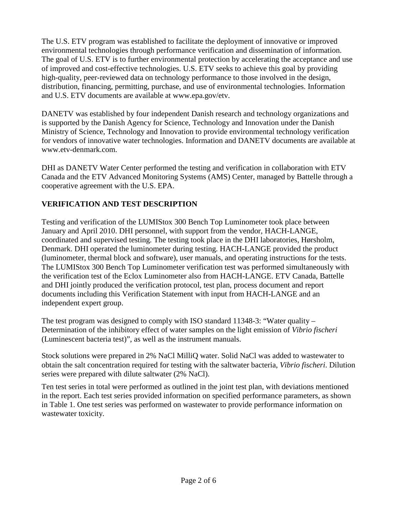The U.S. ETV program was established to facilitate the deployment of innovative or improved environmental technologies through performance verification and dissemination of information. The goal of U.S. ETV is to further environmental protection by accelerating the acceptance and use of improved and cost-effective technologies. U.S. ETV seeks to achieve this goal by providing high-quality, peer-reviewed data on technology performance to those involved in the design, distribution, financing, permitting, purchase, and use of environmental technologies. Information and U.S. ETV documents are available at www.epa.gov/etv.

DANETV was established by four independent Danish research and technology organizations and is supported by the Danish Agency for Science, Technology and Innovation under the Danish Ministry of Science, Technology and Innovation to provide environmental technology verification for vendors of innovative water technologies. Information and DANETV documents are available at www.etv-denmark.com.

DHI as DANETV Water Center performed the testing and verification in collaboration with ETV Canada and the ETV Advanced Monitoring Systems (AMS) Center, managed by Battelle through a cooperative agreement with the U.S. EPA.

### **VERIFICATION AND TEST DESCRIPTION**

Testing and verification of the LUMIStox 300 Bench Top Luminometer took place between January and April 2010. DHI personnel, with support from the vendor, HACH-LANGE, coordinated and supervised testing. The testing took place in the DHI laboratories, Hørsholm, Denmark. DHI operated the luminometer during testing. HACH-LANGE provided the product (luminometer, thermal block and software), user manuals, and operating instructions for the tests. The LUMIStox 300 Bench Top Luminometer verification test was performed simultaneously with the verification test of the Eclox Luminometer also from HACH-LANGE. ETV Canada, Battelle and DHI jointly produced the verification protocol, test plan, process document and report documents including this Verification Statement with input from HACH-LANGE and an independent expert group.

The test program was designed to comply with ISO standard 11348-3: "Water quality – Determination of the inhibitory effect of water samples on the light emission of *Vibrio fischeri* (Luminescent bacteria test)", as well as the instrument manuals.

Stock solutions were prepared in 2% NaCl MilliQ water. Solid NaCl was added to wastewater to obtain the salt concentration required for testing with the saltwater bacteria, *Vibrio fischeri*. Dilution series were prepared with dilute saltwater (2% NaCl).

Ten test series in total were performed as outlined in the joint test plan, with deviations mentioned in the report. Each test series provided information on specified performance parameters, as shown in Table 1. One test series was performed on wastewater to provide performance information on wastewater toxicity.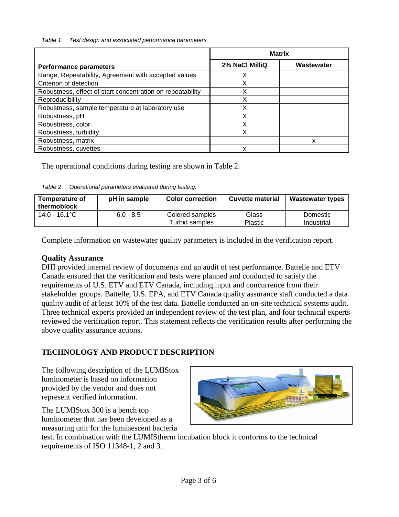*Table 1 Test design and associated performance parameters.*

|                                                            | <b>Matrix</b>  |            |  |
|------------------------------------------------------------|----------------|------------|--|
| <b>Performance parameters</b>                              | 2% NaCl MilliQ | Wastewater |  |
| Range, Repeatability, Agreement with accepted values       | X              |            |  |
| Criterion of detection                                     | X              |            |  |
| Robustness, effect of start concentration on repeatability | Χ              |            |  |
| Reproducibility                                            | X              |            |  |
| Robustness, sample temperature at laboratory use           | Χ              |            |  |
| Robustness, pH                                             | Χ              |            |  |
| Robustness, color                                          | X              |            |  |
| Robustness, turbidity                                      | X              |            |  |
| Robustness, matrix                                         |                | x          |  |
| Robustness, cuvettes                                       | x              |            |  |

The operational conditions during testing are shown in Table 2.

*Table 2 Operational parameters evaluated during testing.*

| <b>Temperature of</b><br>thermoblock | pH in sample | <b>Color correction</b>           | <b>Cuvette material</b> | <b>Wastewater types</b> |
|--------------------------------------|--------------|-----------------------------------|-------------------------|-------------------------|
| 14.0 - 16.1°C                        | $6.0 - 8.5$  | Colored samples<br>Turbid samples | Glass<br><b>Plastic</b> | Domestic<br>Industrial  |

Complete information on wastewater quality parameters is included in the verification report.

#### **Quality Assurance**

DHI provided internal review of documents and an audit of test performance. Battelle and ETV Canada ensured that the verification and tests were planned and conducted to satisfy the requirements of U.S. ETV and ETV Canada, including input and concurrence from their stakeholder groups. Battelle, U.S. EPA, and ETV Canada quality assurance staff conducted a data quality audit of at least 10% of the test data. Battelle conducted an on-site technical systems audit. Three technical experts provided an independent review of the test plan, and four technical experts reviewed the verification report. This statement reflects the verification results after performing the above quality assurance actions.

## **TECHNOLOGY AND PRODUCT DESCRIPTION**

The following description of the LUMIStox luminometer is based on information provided by the vendor and does not represent verified information.

The LUMIStox 300 is a bench top luminometer that has been developed as a measuring unit for the luminescent bacteria

test. In combination with the LUMIStherm incubation block it conforms to the technical requirements of ISO 11348-1, 2 and 3.

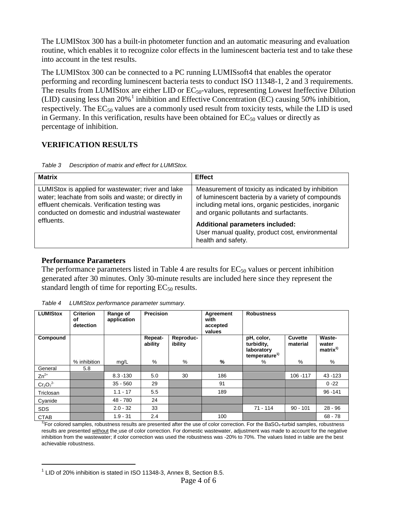The LUMIStox 300 has a built-in photometer function and an automatic measuring and evaluation routine, which enables it to recognize color effects in the luminescent bacteria test and to take these into account in the test results.

The LUMIStox 300 can be connected to a PC running LUMISsoft4 that enables the operator performing and recording luminescent bacteria tests to conduct ISO 11348-1, 2 and 3 requirements. The results from LUMIStox are either LID or  $EC_{50}$ -values, representing Lowest Ineffective Dilution (LID) causing less than 20%<sup>[1](#page-0-0)</sup> inhibition and Effective Concentration (EC) causing 50% inhibition, respectively. The  $EC_{50}$  values are a commonly used result from toxicity tests, while the LID is used in Germany. In this verification, results have been obtained for  $EC_{50}$  values or directly as percentage of inhibition.

#### **VERIFICATION RESULTS**

| Table 3 | Description of matrix and effect for LUMIStox. |
|---------|------------------------------------------------|
|         |                                                |

| <b>Matrix</b>                                                                                                                                                                                                 | <b>Effect</b>                                                                                                                                                                                             |
|---------------------------------------------------------------------------------------------------------------------------------------------------------------------------------------------------------------|-----------------------------------------------------------------------------------------------------------------------------------------------------------------------------------------------------------|
| LUMIStox is applied for wastewater; river and lake<br>water; leachate from soils and waste; or directly in<br>effluent chemicals. Verification testing was<br>conducted on domestic and industrial wastewater | Measurement of toxicity as indicated by inhibition<br>of luminescent bacteria by a variety of compounds<br>including metal ions, organic pesticides, inorganic<br>and organic pollutants and surfactants. |
| effluents.                                                                                                                                                                                                    | <b>Additional parameters included:</b><br>User manual quality, product cost, environmental<br>health and safety.                                                                                          |

#### **Performance Parameters**

 $\overline{a}$ 

The performance parameters listed in Table 4 are results for  $EC_{50}$  values or percent inhibition generated after 30 minutes. Only 30-minute results are included here since they represent the standard length of time for reporting  $EC_{50}$  results.

| <b>LUMIStox</b> | <b>Criterion</b><br>οf<br>detection | Range of<br>application | <b>Precision</b>   |                      | Agreement<br>with<br>accepted<br>values | <b>Robustness</b>                                                   |                     |                                        |
|-----------------|-------------------------------------|-------------------------|--------------------|----------------------|-----------------------------------------|---------------------------------------------------------------------|---------------------|----------------------------------------|
| Compound        |                                     |                         | Repeat-<br>ability | Reproduc-<br>ibility |                                         | pH, color,<br>turbidity,<br>laboratory<br>temperature <sup>1)</sup> | Cuvette<br>material | Waste-<br>water<br>matrix <sup>1</sup> |
|                 | % inhibition                        | mg/L                    | $\frac{0}{0}$      | %                    | %                                       | %                                                                   | %                   | %                                      |
| General         | 5.8                                 |                         |                    |                      |                                         |                                                                     |                     |                                        |
| $Zn^{2+}$       |                                     | $8.3 - 130$             | 5.0                | 30                   | 186                                     |                                                                     | 106 - 117           | 43 - 123                               |
| $Cr_2O_7^2$     |                                     | $35 - 560$              | 29                 |                      | 91                                      |                                                                     |                     | $0 - 22$                               |
| Triclosan       |                                     | $1.1 - 17$              | 5.5                |                      | 189                                     |                                                                     |                     | $96 - 141$                             |
| Cyanide         |                                     | 48 - 780                | 24                 |                      |                                         |                                                                     |                     |                                        |
| <b>SDS</b>      |                                     | $2.0 - 32$              | 33                 |                      |                                         | $71 - 114$                                                          | $90 - 101$          | $28 - 96$                              |
| <b>CTAB</b>     |                                     | $1.9 - 31$              | 2.4                |                      | 100                                     |                                                                     |                     | $68 - 78$                              |

*Table 4 LUMIStox performance parameter summary.*

 $1$ <sup>T</sup>)For colored samples, robustness results are presented after the use of color correction. For the BaSO<sub>4</sub>-turbid samples, robustness results are presented without the use of color correction. For domestic wastewater, adjustment was made to account for the negative inhibition from the wastewater; if color correction was used the robustness was -20% to 70%. The values listed in table are the best achievable robustness.

 $1$  LID of 20% inhibition is stated in ISO 11348-3, Annex B, Section B.5.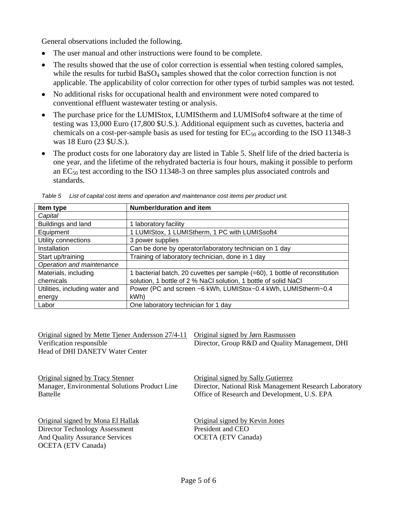General observations included the following.

- The user manual and other instructions were found to be complete.
- The results showed that the use of color correction is essential when testing colored samples, while the results for turbid BaSO<sub>4</sub> samples showed that the color correction function is not applicable. The applicability of color correction for other types of turbid samples was not tested.
- No additional risks for occupational health and environment were noted compared to conventional effluent wastewater testing or analysis.
- The purchase price for the LUMIStox, LUMIStherm and LUMISoft4 software at the time of testing was 13,000 Euro (17,800 \$U.S.). Additional equipment such as cuvettes, bacteria and chemicals on a cost-per-sample basis as used for testing for  $EC_{50}$  according to the ISO 11348-3 was 18 Euro (23 \$U.S.).
- The product costs for one laboratory day are listed in Table 5. Shelf life of the dried bacteria is one year, and the lifetime of the rehydrated bacteria is four hours, making it possible to perform an  $EC_{50}$  test according to the ISO 11348-3 on three samples plus associated controls and standards.

| Item type                      | Number/duration and item                                                    |
|--------------------------------|-----------------------------------------------------------------------------|
| Capital                        |                                                                             |
| Buildings and land             | 1 laboratory facility                                                       |
| Equipment                      | 1 LUMIStox, 1 LUMIStherm, 1 PC with LUMISsoft4                              |
| Utility connections            | 3 power supplies                                                            |
| Installation                   | Can be done by operator/laboratory technician on 1 day                      |
| Start up/training              | Training of laboratory technician, done in 1 day                            |
| Operation and maintenance      |                                                                             |
| Materials, including           | 1 bacterial batch, 20 cuvettes per sample (=60), 1 bottle of reconstitution |
| chemicals                      | solution, 1 bottle of 2 % NaCl solution, 1 bottle of solid NaCl             |
| Utilities, including water and | Power (PC and screen ~6 kWh, LUMIStox~0.4 kWh, LUMIStherm~0.4               |
| energy                         | kWh)                                                                        |
| Labor                          | One laboratory technician for 1 day                                         |

*Table 5 List of capital cost items and operation and maintenance cost items per product unit.*

| Original signed by Mette Tiener Andersson 27/4-11 | Original signed by Jørn Rasmussen                      |
|---------------------------------------------------|--------------------------------------------------------|
| Verification responsible                          | Director, Group R&D and Quality Management, DHI        |
| Head of DHI DANETV Water Center                   |                                                        |
|                                                   |                                                        |
| Original signed by Tracy Stenner                  | Original signed by Sally Gutierrez                     |
| Manager, Environmental Solutions Product Line     | Director, National Risk Management Research Laboratory |
| <b>Battelle</b>                                   | Office of Research and Development, U.S. EPA           |
|                                                   |                                                        |
| Original signed by Mona El Hallak                 | Original signed by Kevin Jones                         |
| Director Technology Assessment                    | President and CEO                                      |
| <b>And Quality Assurance Services</b>             | <b>OCETA</b> (ETV Canada)                              |
| <b>OCETA</b> (ETV Canada)                         |                                                        |
|                                                   |                                                        |